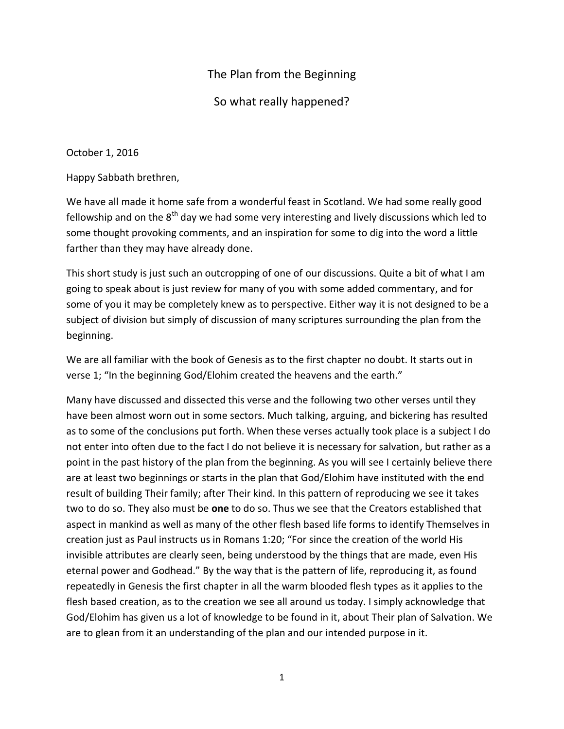## The Plan from the Beginning

## So what really happened?

October 1, 2016

Happy Sabbath brethren,

We have all made it home safe from a wonderful feast in Scotland. We had some really good fellowship and on the 8<sup>th</sup> day we had some very interesting and lively discussions which led to some thought provoking comments, and an inspiration for some to dig into the word a little farther than they may have already done.

This short study is just such an outcropping of one of our discussions. Quite a bit of what I am going to speak about is just review for many of you with some added commentary, and for some of you it may be completely knew as to perspective. Either way it is not designed to be a subject of division but simply of discussion of many scriptures surrounding the plan from the beginning.

We are all familiar with the book of Genesis as to the first chapter no doubt. It starts out in verse 1; "In the beginning God/Elohim created the heavens and the earth."

Many have discussed and dissected this verse and the following two other verses until they have been almost worn out in some sectors. Much talking, arguing, and bickering has resulted as to some of the conclusions put forth. When these verses actually took place is a subject I do not enter into often due to the fact I do not believe it is necessary for salvation, but rather as a point in the past history of the plan from the beginning. As you will see I certainly believe there are at least two beginnings or starts in the plan that God/Elohim have instituted with the end result of building Their family; after Their kind. In this pattern of reproducing we see it takes two to do so. They also must be **one** to do so. Thus we see that the Creators established that aspect in mankind as well as many of the other flesh based life forms to identify Themselves in creation just as Paul instructs us in Romans 1:20; "For since the creation of the world His invisible attributes are clearly seen, being understood by the things that are made, even His eternal power and Godhead." By the way that is the pattern of life, reproducing it, as found repeatedly in Genesis the first chapter in all the warm blooded flesh types as it applies to the flesh based creation, as to the creation we see all around us today. I simply acknowledge that God/Elohim has given us a lot of knowledge to be found in it, about Their plan of Salvation. We are to glean from it an understanding of the plan and our intended purpose in it.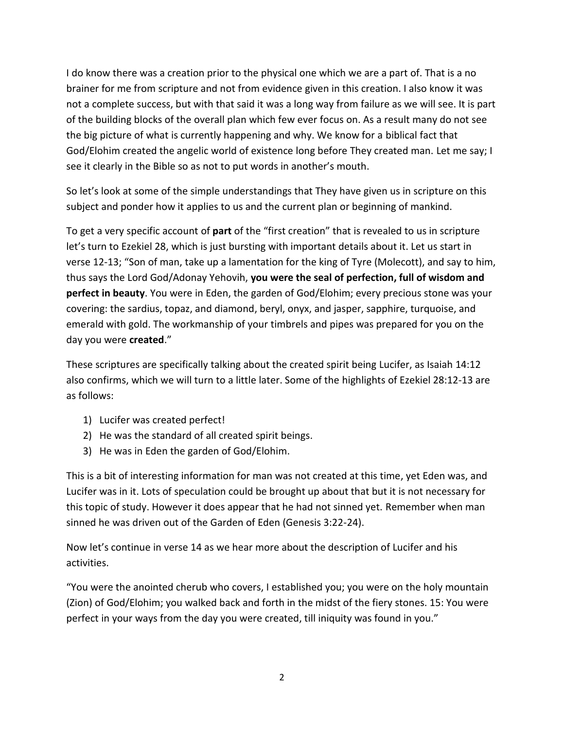I do know there was a creation prior to the physical one which we are a part of. That is a no brainer for me from scripture and not from evidence given in this creation. I also know it was not a complete success, but with that said it was a long way from failure as we will see. It is part of the building blocks of the overall plan which few ever focus on. As a result many do not see the big picture of what is currently happening and why. We know for a biblical fact that God/Elohim created the angelic world of existence long before They created man. Let me say; I see it clearly in the Bible so as not to put words in another's mouth.

So let's look at some of the simple understandings that They have given us in scripture on this subject and ponder how it applies to us and the current plan or beginning of mankind.

To get a very specific account of **part** of the "first creation" that is revealed to us in scripture let's turn to Ezekiel 28, which is just bursting with important details about it. Let us start in verse 12-13; "Son of man, take up a lamentation for the king of Tyre (Molecott), and say to him, thus says the Lord God/Adonay Yehovih, **you were the seal of perfection, full of wisdom and perfect in beauty**. You were in Eden, the garden of God/Elohim; every precious stone was your covering: the sardius, topaz, and diamond, beryl, onyx, and jasper, sapphire, turquoise, and emerald with gold. The workmanship of your timbrels and pipes was prepared for you on the day you were **created**."

These scriptures are specifically talking about the created spirit being Lucifer, as Isaiah 14:12 also confirms, which we will turn to a little later. Some of the highlights of Ezekiel 28:12-13 are as follows:

- 1) Lucifer was created perfect!
- 2) He was the standard of all created spirit beings.
- 3) He was in Eden the garden of God/Elohim.

This is a bit of interesting information for man was not created at this time, yet Eden was, and Lucifer was in it. Lots of speculation could be brought up about that but it is not necessary for this topic of study. However it does appear that he had not sinned yet. Remember when man sinned he was driven out of the Garden of Eden (Genesis 3:22-24).

Now let's continue in verse 14 as we hear more about the description of Lucifer and his activities.

"You were the anointed cherub who covers, I established you; you were on the holy mountain (Zion) of God/Elohim; you walked back and forth in the midst of the fiery stones. 15: You were perfect in your ways from the day you were created, till iniquity was found in you."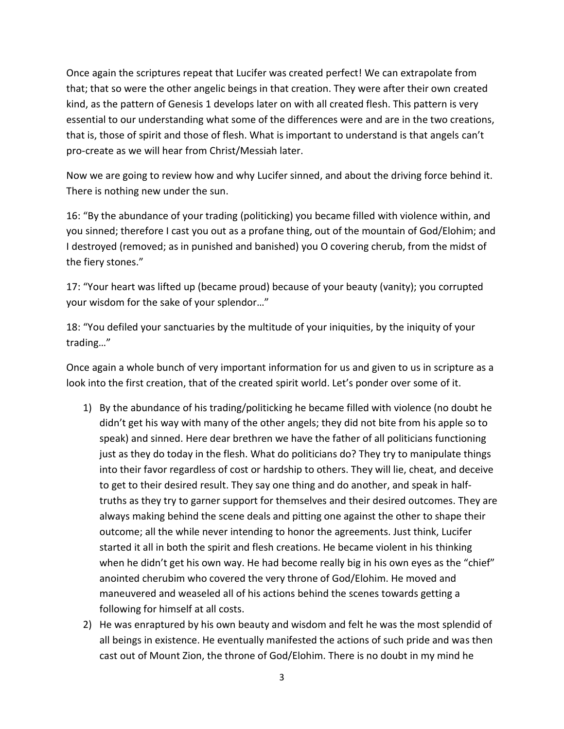Once again the scriptures repeat that Lucifer was created perfect! We can extrapolate from that; that so were the other angelic beings in that creation. They were after their own created kind, as the pattern of Genesis 1 develops later on with all created flesh. This pattern is very essential to our understanding what some of the differences were and are in the two creations, that is, those of spirit and those of flesh. What is important to understand is that angels can't pro-create as we will hear from Christ/Messiah later.

Now we are going to review how and why Lucifer sinned, and about the driving force behind it. There is nothing new under the sun.

16: "By the abundance of your trading (politicking) you became filled with violence within, and you sinned; therefore I cast you out as a profane thing, out of the mountain of God/Elohim; and I destroyed (removed; as in punished and banished) you O covering cherub, from the midst of the fiery stones."

17: "Your heart was lifted up (became proud) because of your beauty (vanity); you corrupted your wisdom for the sake of your splendor…"

18: "You defiled your sanctuaries by the multitude of your iniquities, by the iniquity of your trading…"

Once again a whole bunch of very important information for us and given to us in scripture as a look into the first creation, that of the created spirit world. Let's ponder over some of it.

- 1) By the abundance of his trading/politicking he became filled with violence (no doubt he didn't get his way with many of the other angels; they did not bite from his apple so to speak) and sinned. Here dear brethren we have the father of all politicians functioning just as they do today in the flesh. What do politicians do? They try to manipulate things into their favor regardless of cost or hardship to others. They will lie, cheat, and deceive to get to their desired result. They say one thing and do another, and speak in halftruths as they try to garner support for themselves and their desired outcomes. They are always making behind the scene deals and pitting one against the other to shape their outcome; all the while never intending to honor the agreements. Just think, Lucifer started it all in both the spirit and flesh creations. He became violent in his thinking when he didn't get his own way. He had become really big in his own eyes as the "chief" anointed cherubim who covered the very throne of God/Elohim. He moved and maneuvered and weaseled all of his actions behind the scenes towards getting a following for himself at all costs.
- 2) He was enraptured by his own beauty and wisdom and felt he was the most splendid of all beings in existence. He eventually manifested the actions of such pride and was then cast out of Mount Zion, the throne of God/Elohim. There is no doubt in my mind he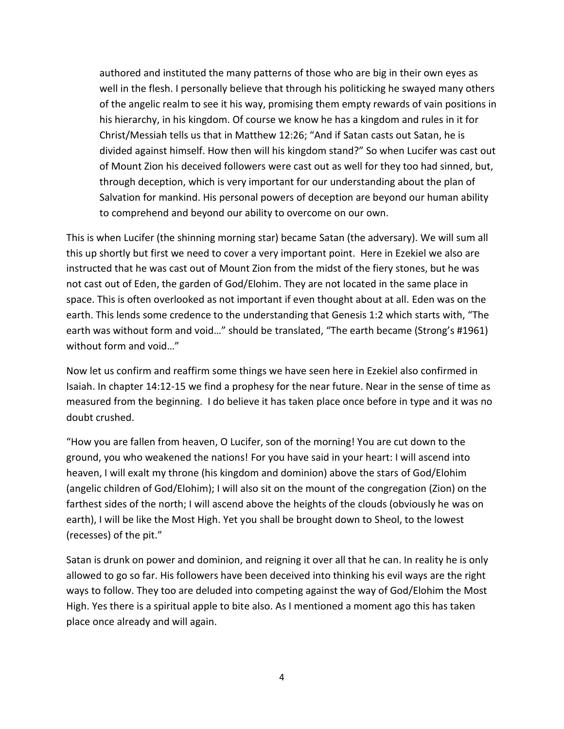authored and instituted the many patterns of those who are big in their own eyes as well in the flesh. I personally believe that through his politicking he swayed many others of the angelic realm to see it his way, promising them empty rewards of vain positions in his hierarchy, in his kingdom. Of course we know he has a kingdom and rules in it for Christ/Messiah tells us that in Matthew 12:26; "And if Satan casts out Satan, he is divided against himself. How then will his kingdom stand?" So when Lucifer was cast out of Mount Zion his deceived followers were cast out as well for they too had sinned, but, through deception, which is very important for our understanding about the plan of Salvation for mankind. His personal powers of deception are beyond our human ability to comprehend and beyond our ability to overcome on our own.

This is when Lucifer (the shinning morning star) became Satan (the adversary). We will sum all this up shortly but first we need to cover a very important point. Here in Ezekiel we also are instructed that he was cast out of Mount Zion from the midst of the fiery stones, but he was not cast out of Eden, the garden of God/Elohim. They are not located in the same place in space. This is often overlooked as not important if even thought about at all. Eden was on the earth. This lends some credence to the understanding that Genesis 1:2 which starts with, "The earth was without form and void…" should be translated, "The earth became (Strong's #1961) without form and void…"

Now let us confirm and reaffirm some things we have seen here in Ezekiel also confirmed in Isaiah. In chapter 14:12-15 we find a prophesy for the near future. Near in the sense of time as measured from the beginning. I do believe it has taken place once before in type and it was no doubt crushed.

"How you are fallen from heaven, O Lucifer, son of the morning! You are cut down to the ground, you who weakened the nations! For you have said in your heart: I will ascend into heaven, I will exalt my throne (his kingdom and dominion) above the stars of God/Elohim (angelic children of God/Elohim); I will also sit on the mount of the congregation (Zion) on the farthest sides of the north; I will ascend above the heights of the clouds (obviously he was on earth), I will be like the Most High. Yet you shall be brought down to Sheol, to the lowest (recesses) of the pit."

Satan is drunk on power and dominion, and reigning it over all that he can. In reality he is only allowed to go so far. His followers have been deceived into thinking his evil ways are the right ways to follow. They too are deluded into competing against the way of God/Elohim the Most High. Yes there is a spiritual apple to bite also. As I mentioned a moment ago this has taken place once already and will again.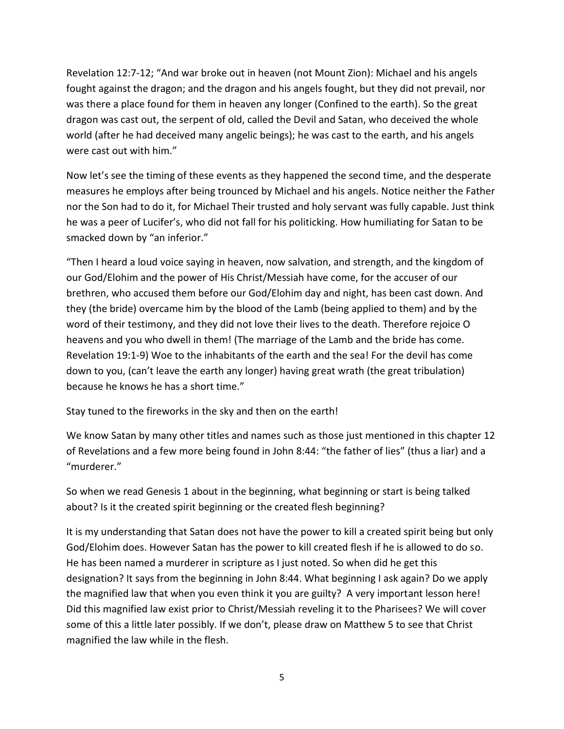Revelation 12:7-12; "And war broke out in heaven (not Mount Zion): Michael and his angels fought against the dragon; and the dragon and his angels fought, but they did not prevail, nor was there a place found for them in heaven any longer (Confined to the earth). So the great dragon was cast out, the serpent of old, called the Devil and Satan, who deceived the whole world (after he had deceived many angelic beings); he was cast to the earth, and his angels were cast out with him."

Now let's see the timing of these events as they happened the second time, and the desperate measures he employs after being trounced by Michael and his angels. Notice neither the Father nor the Son had to do it, for Michael Their trusted and holy servant was fully capable. Just think he was a peer of Lucifer's, who did not fall for his politicking. How humiliating for Satan to be smacked down by "an inferior."

"Then I heard a loud voice saying in heaven, now salvation, and strength, and the kingdom of our God/Elohim and the power of His Christ/Messiah have come, for the accuser of our brethren, who accused them before our God/Elohim day and night, has been cast down. And they (the bride) overcame him by the blood of the Lamb (being applied to them) and by the word of their testimony, and they did not love their lives to the death. Therefore rejoice O heavens and you who dwell in them! (The marriage of the Lamb and the bride has come. Revelation 19:1-9) Woe to the inhabitants of the earth and the sea! For the devil has come down to you, (can't leave the earth any longer) having great wrath (the great tribulation) because he knows he has a short time."

Stay tuned to the fireworks in the sky and then on the earth!

We know Satan by many other titles and names such as those just mentioned in this chapter 12 of Revelations and a few more being found in John 8:44: "the father of lies" (thus a liar) and a "murderer."

So when we read Genesis 1 about in the beginning, what beginning or start is being talked about? Is it the created spirit beginning or the created flesh beginning?

It is my understanding that Satan does not have the power to kill a created spirit being but only God/Elohim does. However Satan has the power to kill created flesh if he is allowed to do so. He has been named a murderer in scripture as I just noted. So when did he get this designation? It says from the beginning in John 8:44. What beginning I ask again? Do we apply the magnified law that when you even think it you are guilty? A very important lesson here! Did this magnified law exist prior to Christ/Messiah reveling it to the Pharisees? We will cover some of this a little later possibly. If we don't, please draw on Matthew 5 to see that Christ magnified the law while in the flesh.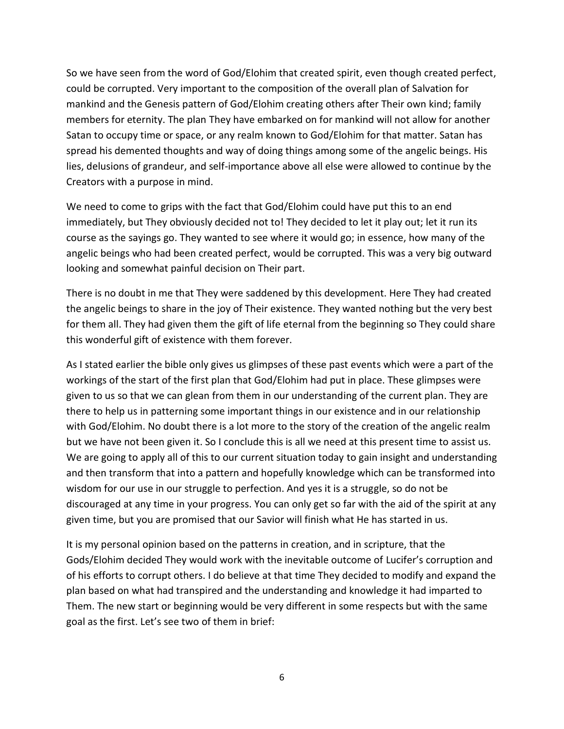So we have seen from the word of God/Elohim that created spirit, even though created perfect, could be corrupted. Very important to the composition of the overall plan of Salvation for mankind and the Genesis pattern of God/Elohim creating others after Their own kind; family members for eternity. The plan They have embarked on for mankind will not allow for another Satan to occupy time or space, or any realm known to God/Elohim for that matter. Satan has spread his demented thoughts and way of doing things among some of the angelic beings. His lies, delusions of grandeur, and self-importance above all else were allowed to continue by the Creators with a purpose in mind.

We need to come to grips with the fact that God/Elohim could have put this to an end immediately, but They obviously decided not to! They decided to let it play out; let it run its course as the sayings go. They wanted to see where it would go; in essence, how many of the angelic beings who had been created perfect, would be corrupted. This was a very big outward looking and somewhat painful decision on Their part.

There is no doubt in me that They were saddened by this development. Here They had created the angelic beings to share in the joy of Their existence. They wanted nothing but the very best for them all. They had given them the gift of life eternal from the beginning so They could share this wonderful gift of existence with them forever.

As I stated earlier the bible only gives us glimpses of these past events which were a part of the workings of the start of the first plan that God/Elohim had put in place. These glimpses were given to us so that we can glean from them in our understanding of the current plan. They are there to help us in patterning some important things in our existence and in our relationship with God/Elohim. No doubt there is a lot more to the story of the creation of the angelic realm but we have not been given it. So I conclude this is all we need at this present time to assist us. We are going to apply all of this to our current situation today to gain insight and understanding and then transform that into a pattern and hopefully knowledge which can be transformed into wisdom for our use in our struggle to perfection. And yes it is a struggle, so do not be discouraged at any time in your progress. You can only get so far with the aid of the spirit at any given time, but you are promised that our Savior will finish what He has started in us.

It is my personal opinion based on the patterns in creation, and in scripture, that the Gods/Elohim decided They would work with the inevitable outcome of Lucifer's corruption and of his efforts to corrupt others. I do believe at that time They decided to modify and expand the plan based on what had transpired and the understanding and knowledge it had imparted to Them. The new start or beginning would be very different in some respects but with the same goal as the first. Let's see two of them in brief: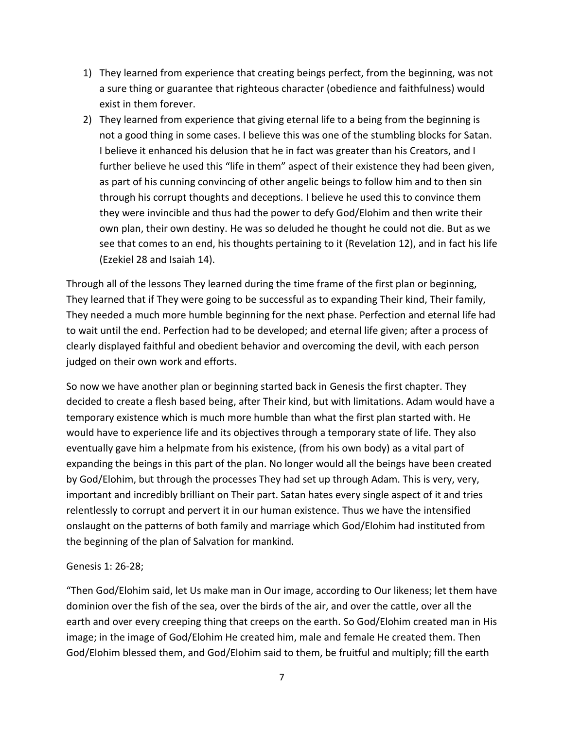- 1) They learned from experience that creating beings perfect, from the beginning, was not a sure thing or guarantee that righteous character (obedience and faithfulness) would exist in them forever.
- 2) They learned from experience that giving eternal life to a being from the beginning is not a good thing in some cases. I believe this was one of the stumbling blocks for Satan. I believe it enhanced his delusion that he in fact was greater than his Creators, and I further believe he used this "life in them" aspect of their existence they had been given, as part of his cunning convincing of other angelic beings to follow him and to then sin through his corrupt thoughts and deceptions. I believe he used this to convince them they were invincible and thus had the power to defy God/Elohim and then write their own plan, their own destiny. He was so deluded he thought he could not die. But as we see that comes to an end, his thoughts pertaining to it (Revelation 12), and in fact his life (Ezekiel 28 and Isaiah 14).

Through all of the lessons They learned during the time frame of the first plan or beginning, They learned that if They were going to be successful as to expanding Their kind, Their family, They needed a much more humble beginning for the next phase. Perfection and eternal life had to wait until the end. Perfection had to be developed; and eternal life given; after a process of clearly displayed faithful and obedient behavior and overcoming the devil, with each person judged on their own work and efforts.

So now we have another plan or beginning started back in Genesis the first chapter. They decided to create a flesh based being, after Their kind, but with limitations. Adam would have a temporary existence which is much more humble than what the first plan started with. He would have to experience life and its objectives through a temporary state of life. They also eventually gave him a helpmate from his existence, (from his own body) as a vital part of expanding the beings in this part of the plan. No longer would all the beings have been created by God/Elohim, but through the processes They had set up through Adam. This is very, very, important and incredibly brilliant on Their part. Satan hates every single aspect of it and tries relentlessly to corrupt and pervert it in our human existence. Thus we have the intensified onslaught on the patterns of both family and marriage which God/Elohim had instituted from the beginning of the plan of Salvation for mankind.

## Genesis 1: 26-28;

"Then God/Elohim said, let Us make man in Our image, according to Our likeness; let them have dominion over the fish of the sea, over the birds of the air, and over the cattle, over all the earth and over every creeping thing that creeps on the earth. So God/Elohim created man in His image; in the image of God/Elohim He created him, male and female He created them. Then God/Elohim blessed them, and God/Elohim said to them, be fruitful and multiply; fill the earth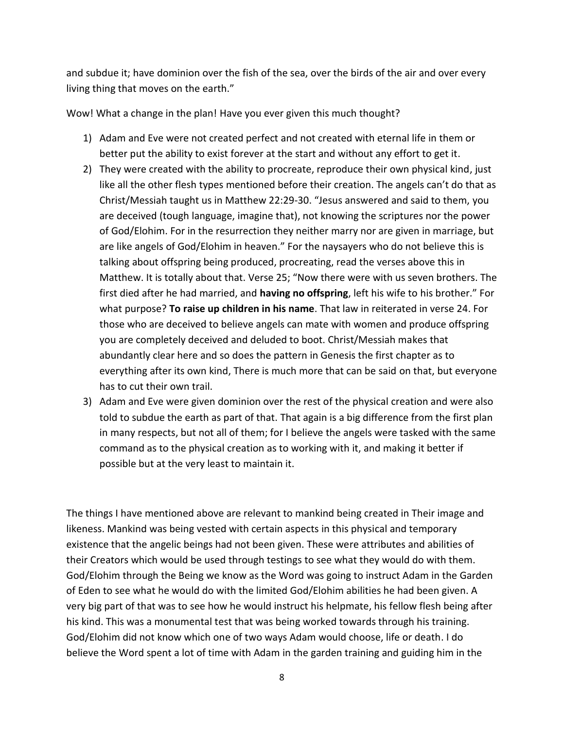and subdue it; have dominion over the fish of the sea, over the birds of the air and over every living thing that moves on the earth."

Wow! What a change in the plan! Have you ever given this much thought?

- 1) Adam and Eve were not created perfect and not created with eternal life in them or better put the ability to exist forever at the start and without any effort to get it.
- 2) They were created with the ability to procreate, reproduce their own physical kind, just like all the other flesh types mentioned before their creation. The angels can't do that as Christ/Messiah taught us in Matthew 22:29-30. "Jesus answered and said to them, you are deceived (tough language, imagine that), not knowing the scriptures nor the power of God/Elohim. For in the resurrection they neither marry nor are given in marriage, but are like angels of God/Elohim in heaven." For the naysayers who do not believe this is talking about offspring being produced, procreating, read the verses above this in Matthew. It is totally about that. Verse 25; "Now there were with us seven brothers. The first died after he had married, and **having no offspring**, left his wife to his brother." For what purpose? **To raise up children in his name**. That law in reiterated in verse 24. For those who are deceived to believe angels can mate with women and produce offspring you are completely deceived and deluded to boot. Christ/Messiah makes that abundantly clear here and so does the pattern in Genesis the first chapter as to everything after its own kind, There is much more that can be said on that, but everyone has to cut their own trail.
- 3) Adam and Eve were given dominion over the rest of the physical creation and were also told to subdue the earth as part of that. That again is a big difference from the first plan in many respects, but not all of them; for I believe the angels were tasked with the same command as to the physical creation as to working with it, and making it better if possible but at the very least to maintain it.

The things I have mentioned above are relevant to mankind being created in Their image and likeness. Mankind was being vested with certain aspects in this physical and temporary existence that the angelic beings had not been given. These were attributes and abilities of their Creators which would be used through testings to see what they would do with them. God/Elohim through the Being we know as the Word was going to instruct Adam in the Garden of Eden to see what he would do with the limited God/Elohim abilities he had been given. A very big part of that was to see how he would instruct his helpmate, his fellow flesh being after his kind. This was a monumental test that was being worked towards through his training. God/Elohim did not know which one of two ways Adam would choose, life or death. I do believe the Word spent a lot of time with Adam in the garden training and guiding him in the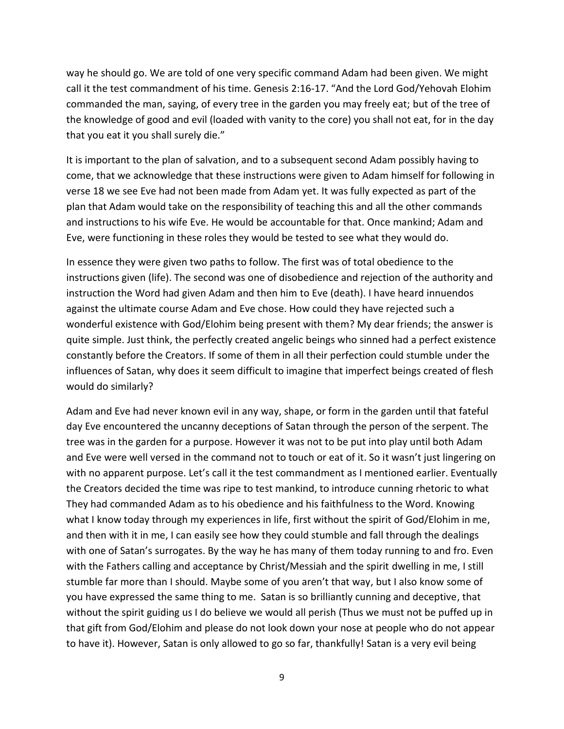way he should go. We are told of one very specific command Adam had been given. We might call it the test commandment of his time. Genesis 2:16-17. "And the Lord God/Yehovah Elohim commanded the man, saying, of every tree in the garden you may freely eat; but of the tree of the knowledge of good and evil (loaded with vanity to the core) you shall not eat, for in the day that you eat it you shall surely die."

It is important to the plan of salvation, and to a subsequent second Adam possibly having to come, that we acknowledge that these instructions were given to Adam himself for following in verse 18 we see Eve had not been made from Adam yet. It was fully expected as part of the plan that Adam would take on the responsibility of teaching this and all the other commands and instructions to his wife Eve. He would be accountable for that. Once mankind; Adam and Eve, were functioning in these roles they would be tested to see what they would do.

In essence they were given two paths to follow. The first was of total obedience to the instructions given (life). The second was one of disobedience and rejection of the authority and instruction the Word had given Adam and then him to Eve (death). I have heard innuendos against the ultimate course Adam and Eve chose. How could they have rejected such a wonderful existence with God/Elohim being present with them? My dear friends; the answer is quite simple. Just think, the perfectly created angelic beings who sinned had a perfect existence constantly before the Creators. If some of them in all their perfection could stumble under the influences of Satan, why does it seem difficult to imagine that imperfect beings created of flesh would do similarly?

Adam and Eve had never known evil in any way, shape, or form in the garden until that fateful day Eve encountered the uncanny deceptions of Satan through the person of the serpent. The tree was in the garden for a purpose. However it was not to be put into play until both Adam and Eve were well versed in the command not to touch or eat of it. So it wasn't just lingering on with no apparent purpose. Let's call it the test commandment as I mentioned earlier. Eventually the Creators decided the time was ripe to test mankind, to introduce cunning rhetoric to what They had commanded Adam as to his obedience and his faithfulness to the Word. Knowing what I know today through my experiences in life, first without the spirit of God/Elohim in me, and then with it in me, I can easily see how they could stumble and fall through the dealings with one of Satan's surrogates. By the way he has many of them today running to and fro. Even with the Fathers calling and acceptance by Christ/Messiah and the spirit dwelling in me, I still stumble far more than I should. Maybe some of you aren't that way, but I also know some of you have expressed the same thing to me. Satan is so brilliantly cunning and deceptive, that without the spirit guiding us I do believe we would all perish (Thus we must not be puffed up in that gift from God/Elohim and please do not look down your nose at people who do not appear to have it). However, Satan is only allowed to go so far, thankfully! Satan is a very evil being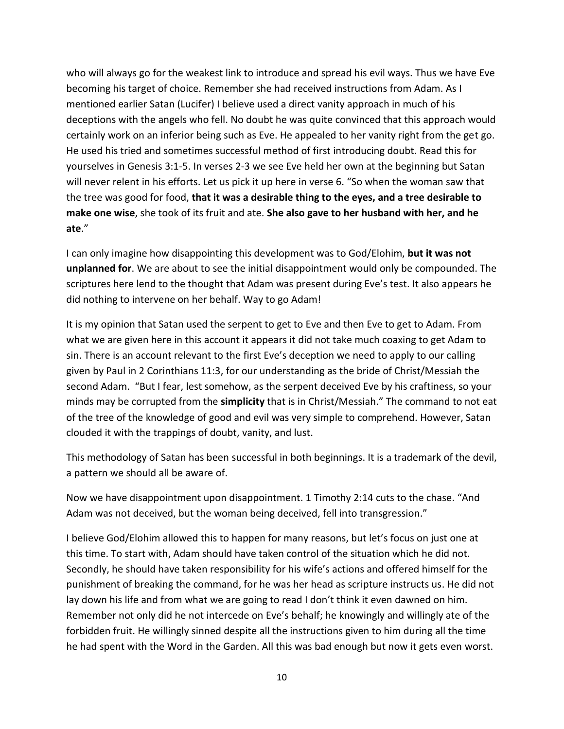who will always go for the weakest link to introduce and spread his evil ways. Thus we have Eve becoming his target of choice. Remember she had received instructions from Adam. As I mentioned earlier Satan (Lucifer) I believe used a direct vanity approach in much of his deceptions with the angels who fell. No doubt he was quite convinced that this approach would certainly work on an inferior being such as Eve. He appealed to her vanity right from the get go. He used his tried and sometimes successful method of first introducing doubt. Read this for yourselves in Genesis 3:1-5. In verses 2-3 we see Eve held her own at the beginning but Satan will never relent in his efforts. Let us pick it up here in verse 6. "So when the woman saw that the tree was good for food, **that it was a desirable thing to the eyes, and a tree desirable to make one wise**, she took of its fruit and ate. **She also gave to her husband with her, and he ate**."

I can only imagine how disappointing this development was to God/Elohim, **but it was not unplanned for**. We are about to see the initial disappointment would only be compounded. The scriptures here lend to the thought that Adam was present during Eve's test. It also appears he did nothing to intervene on her behalf. Way to go Adam!

It is my opinion that Satan used the serpent to get to Eve and then Eve to get to Adam. From what we are given here in this account it appears it did not take much coaxing to get Adam to sin. There is an account relevant to the first Eve's deception we need to apply to our calling given by Paul in 2 Corinthians 11:3, for our understanding as the bride of Christ/Messiah the second Adam. "But I fear, lest somehow, as the serpent deceived Eve by his craftiness, so your minds may be corrupted from the **simplicity** that is in Christ/Messiah." The command to not eat of the tree of the knowledge of good and evil was very simple to comprehend. However, Satan clouded it with the trappings of doubt, vanity, and lust.

This methodology of Satan has been successful in both beginnings. It is a trademark of the devil, a pattern we should all be aware of.

Now we have disappointment upon disappointment. 1 Timothy 2:14 cuts to the chase. "And Adam was not deceived, but the woman being deceived, fell into transgression."

I believe God/Elohim allowed this to happen for many reasons, but let's focus on just one at this time. To start with, Adam should have taken control of the situation which he did not. Secondly, he should have taken responsibility for his wife's actions and offered himself for the punishment of breaking the command, for he was her head as scripture instructs us. He did not lay down his life and from what we are going to read I don't think it even dawned on him. Remember not only did he not intercede on Eve's behalf; he knowingly and willingly ate of the forbidden fruit. He willingly sinned despite all the instructions given to him during all the time he had spent with the Word in the Garden. All this was bad enough but now it gets even worst.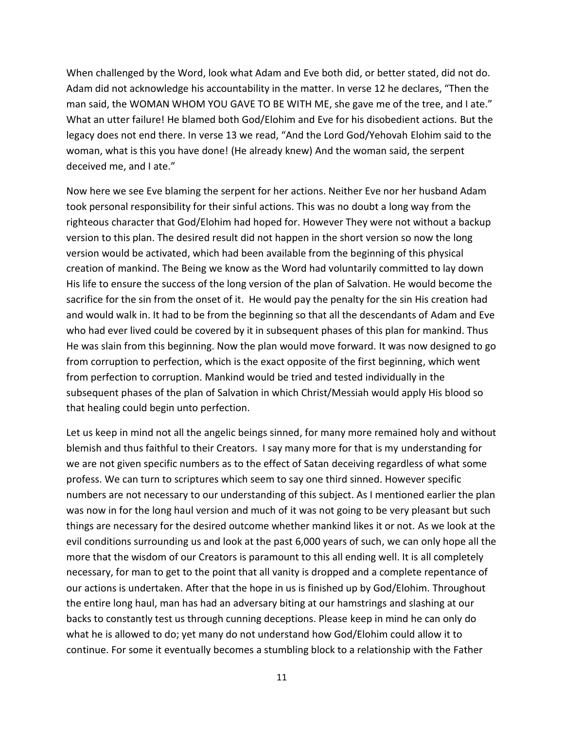When challenged by the Word, look what Adam and Eve both did, or better stated, did not do. Adam did not acknowledge his accountability in the matter. In verse 12 he declares, "Then the man said, the WOMAN WHOM YOU GAVE TO BE WITH ME, she gave me of the tree, and I ate." What an utter failure! He blamed both God/Elohim and Eve for his disobedient actions. But the legacy does not end there. In verse 13 we read, "And the Lord God/Yehovah Elohim said to the woman, what is this you have done! (He already knew) And the woman said, the serpent deceived me, and I ate."

Now here we see Eve blaming the serpent for her actions. Neither Eve nor her husband Adam took personal responsibility for their sinful actions. This was no doubt a long way from the righteous character that God/Elohim had hoped for. However They were not without a backup version to this plan. The desired result did not happen in the short version so now the long version would be activated, which had been available from the beginning of this physical creation of mankind. The Being we know as the Word had voluntarily committed to lay down His life to ensure the success of the long version of the plan of Salvation. He would become the sacrifice for the sin from the onset of it. He would pay the penalty for the sin His creation had and would walk in. It had to be from the beginning so that all the descendants of Adam and Eve who had ever lived could be covered by it in subsequent phases of this plan for mankind. Thus He was slain from this beginning. Now the plan would move forward. It was now designed to go from corruption to perfection, which is the exact opposite of the first beginning, which went from perfection to corruption. Mankind would be tried and tested individually in the subsequent phases of the plan of Salvation in which Christ/Messiah would apply His blood so that healing could begin unto perfection.

Let us keep in mind not all the angelic beings sinned, for many more remained holy and without blemish and thus faithful to their Creators. I say many more for that is my understanding for we are not given specific numbers as to the effect of Satan deceiving regardless of what some profess. We can turn to scriptures which seem to say one third sinned. However specific numbers are not necessary to our understanding of this subject. As I mentioned earlier the plan was now in for the long haul version and much of it was not going to be very pleasant but such things are necessary for the desired outcome whether mankind likes it or not. As we look at the evil conditions surrounding us and look at the past 6,000 years of such, we can only hope all the more that the wisdom of our Creators is paramount to this all ending well. It is all completely necessary, for man to get to the point that all vanity is dropped and a complete repentance of our actions is undertaken. After that the hope in us is finished up by God/Elohim. Throughout the entire long haul, man has had an adversary biting at our hamstrings and slashing at our backs to constantly test us through cunning deceptions. Please keep in mind he can only do what he is allowed to do; yet many do not understand how God/Elohim could allow it to continue. For some it eventually becomes a stumbling block to a relationship with the Father